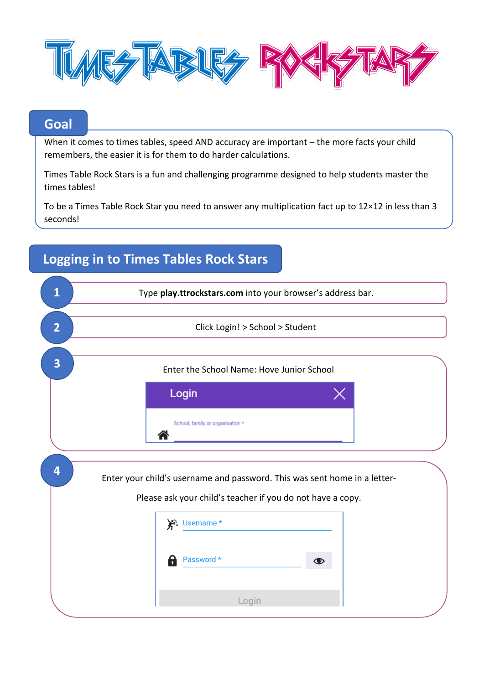

## **Goal**

When it comes to times tables, speed AND accuracy are important – the more facts your child remembers, the easier it is for them to do harder calculations.

Times Table Rock Stars is a fun and challenging programme designed to help students master the times tables!

To be a Times Table Rock Star you need to answer any multiplication fact up to 12×12 in less than 3 seconds!

| 1              | Type play.ttrockstars.com into your browser's address bar.                                                                              |
|----------------|-----------------------------------------------------------------------------------------------------------------------------------------|
| $\overline{2}$ | Click Login! > School > Student                                                                                                         |
| 3              | Enter the School Name: Hove Junior School                                                                                               |
|                | Login                                                                                                                                   |
|                | School, family or organisation *                                                                                                        |
| 4              | Enter your child's username and password. This was sent home in a letter-<br>Please ask your child's teacher if you do not have a copy. |
|                | Ste Username *                                                                                                                          |
|                | Password *<br>8<br>◉                                                                                                                    |
|                | Login                                                                                                                                   |

# **Logging in to Times Tables Rock Stars**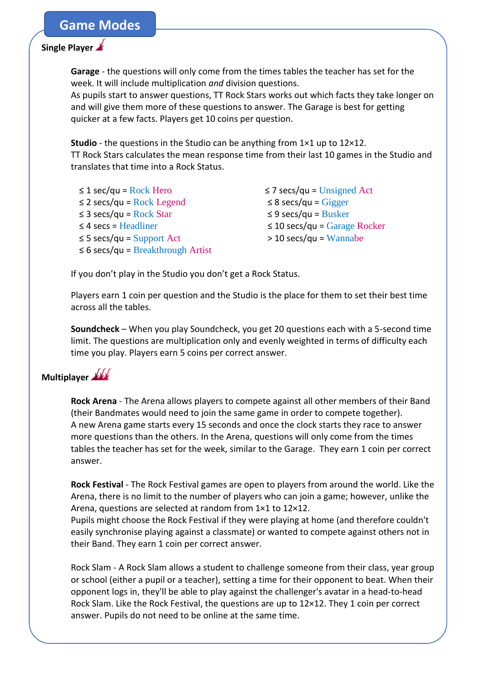### **Game Modes**

#### **Single Player**

**Garage** - the questions will only come from the times tables the teacher has set for the week. It will include multiplication *and* division questions.

As pupils start to answer questions, TT Rock Stars works out which facts they take longer on and will give them more of these questions to answer. The Garage is best for getting quicker at a few facts. Players get 10 coins per question.

**Studio** - the questions in the Studio can be anything from 1×1 up to 12×12. TT Rock Stars calculates the mean response time from their last 10 games in the Studio and translates that time into a Rock Status.

| $\leq$ 1 sec/qu = Rock Hero            |
|----------------------------------------|
| $\leq$ 2 secs/qu = Rock Legend         |
| $\leq$ 3 secs/qu = Rock Star           |
| $\leq$ 4 secs = Headliner              |
| $\leq$ 5 secs/qu = Support Act         |
| $\leq 6$ secs/qu = Breakthrough Artist |

 $\leq$  7 secs/qu = Unsigned Act ≤ 8 secs/qu = Gigger ≤ 9 secs/qu = Busker ≤ 10 secs/qu = Garage Rocker > 10 secs/qu = Wannabe

If you don't play in the Studio you don't get a Rock Status.

Players earn 1 coin per question and the Studio is the place for them to set their best time across all the tables.

**Soundcheck** – When you play Soundcheck, you get 20 questions each with a 5-second time limit. The questions are multiplication only and evenly weighted in terms of difficulty each time you play. Players earn 5 coins per correct answer.

## **Multiplayer**

**Rock Arena** - The Arena allows players to compete against all other members of their Band (their Bandmates would need to join the same game in order to compete together). A new Arena game starts every 15 seconds and once the clock starts they race to answer more questions than the others. In the Arena, questions will only come from the times tables the teacher has set for the week, similar to the Garage. They earn 1 coin per correct answer.

**Rock Festival** - The Rock Festival games are open to players from around the world. Like the Arena, there is no limit to the number of players who can join a game; however, unlike the Arena, questions are selected at random from 1×1 to 12×12.

Pupils might choose the Rock Festival if they were playing at home (and therefore couldn't easily synchronise playing against a classmate) or wanted to compete against others not in their Band. They earn 1 coin per correct answer.

Rock Slam - A Rock Slam allows a student to challenge someone from their class, year group or school (either a pupil or a teacher), setting a time for their opponent to beat. When their opponent logs in, they'll be able to play against the challenger's avatar in a head-to-head Rock Slam. Like the Rock Festival, the questions are up to  $12\times12$ . They 1 coin per correct answer. Pupils do not need to be online at the same time.